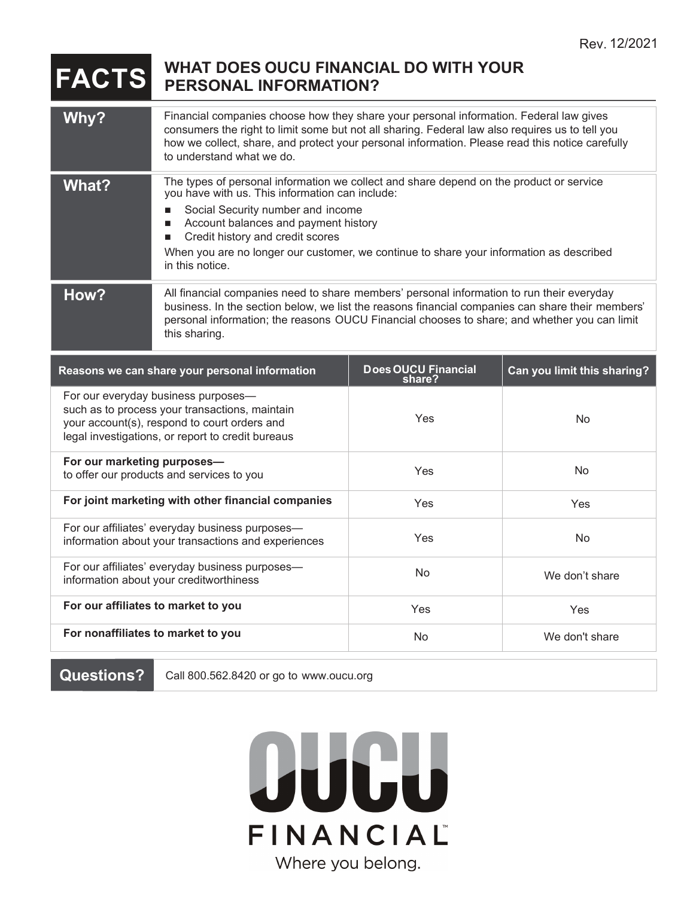## **FACTS** WHAT DOES OUCU FINANCIAL DO WITH YOUR **PERSONAL INFORMATION?**

| Why?                                                                                                                                                                                       | Financial companies choose how they share your personal information. Federal law gives<br>consumers the right to limit some but not all sharing. Federal law also requires us to tell you<br>how we collect, share, and protect your personal information. Please read this notice carefully<br>to understand what we do.                                                                        |                               |                             |
|--------------------------------------------------------------------------------------------------------------------------------------------------------------------------------------------|--------------------------------------------------------------------------------------------------------------------------------------------------------------------------------------------------------------------------------------------------------------------------------------------------------------------------------------------------------------------------------------------------|-------------------------------|-----------------------------|
| What?                                                                                                                                                                                      | The types of personal information we collect and share depend on the product or service<br>you have with us. This information can include:<br>Social Security number and income<br>$\blacksquare$<br>Account balances and payment history<br>■<br>Credit history and credit scores<br>When you are no longer our customer, we continue to share your information as described<br>in this notice. |                               |                             |
| How?                                                                                                                                                                                       | All financial companies need to share members' personal information to run their everyday<br>business. In the section below, we list the reasons financial companies can share their members'<br>personal information; the reasons OUCU Financial chooses to share; and whether you can limit<br>this sharing.                                                                                   |                               |                             |
| Reasons we can share your personal information                                                                                                                                             |                                                                                                                                                                                                                                                                                                                                                                                                  | Does OUCU Financial<br>share? | Can you limit this sharing? |
| For our everyday business purposes-<br>such as to process your transactions, maintain<br>your account(s), respond to court orders and<br>legal investigations, or report to credit bureaus |                                                                                                                                                                                                                                                                                                                                                                                                  | Yes                           | No                          |
| For our marketing purposes-<br>to offer our products and services to you                                                                                                                   |                                                                                                                                                                                                                                                                                                                                                                                                  | Yes                           | <b>No</b>                   |
| For joint marketing with other financial companies                                                                                                                                         |                                                                                                                                                                                                                                                                                                                                                                                                  | Yes                           | Yes                         |
| For our affiliates' everyday business purposes-<br>information about your transactions and experiences                                                                                     |                                                                                                                                                                                                                                                                                                                                                                                                  | Yes                           | No                          |
| For our affiliates' everyday business purposes-<br>information about your creditworthiness                                                                                                 |                                                                                                                                                                                                                                                                                                                                                                                                  | No                            | We don't share              |
| For our affiliates to market to you                                                                                                                                                        |                                                                                                                                                                                                                                                                                                                                                                                                  | Yes                           | Yes                         |
| For nonaffiliates to market to you                                                                                                                                                         |                                                                                                                                                                                                                                                                                                                                                                                                  | No                            | We don't share              |
|                                                                                                                                                                                            |                                                                                                                                                                                                                                                                                                                                                                                                  |                               |                             |

**Questions?** Call 800.562.8420 or go to www.oucu.org